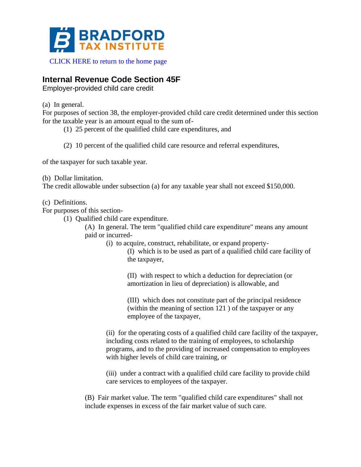

[CLICK HERE to return to the home page](https://www.bradfordtaxinstitute.com)

## **Internal Revenue Code Section 45F**

Employer-provided child care credit

(a) In general.

For purposes of section 38, the employer-provided child care credit determined under this section for the taxable year is an amount equal to the sum of-

(1) 25 percent of the qualified child care expenditures, and

(2) 10 percent of the qualified child care resource and referral expenditures,

of the taxpayer for such taxable year.

(b) Dollar limitation.

The credit allowable under subsection (a) for any taxable year shall not exceed \$150,000.

(c) Definitions.

For purposes of this section-

(1) Qualified child care expenditure.

(A) In general. The term "qualified child care expenditure" means any amount paid or incurred-

(i) to acquire, construct, rehabilitate, or expand property-

(I) which is to be used as part of a qualified child care facility of the taxpayer,

(II) with respect to which a deduction for depreciation (or amortization in lieu of depreciation) is allowable, and

(III) which does not constitute part of the principal residence (within the meaning of section 121 ) of the taxpayer or any employee of the taxpayer,

(ii) for the operating costs of a qualified child care facility of the taxpayer, including costs related to the training of employees, to scholarship programs, and to the providing of increased compensation to employees with higher levels of child care training, or

(iii) under a contract with a qualified child care facility to provide child care services to employees of the taxpayer.

(B) Fair market value. The term "qualified child care expenditures" shall not include expenses in excess of the fair market value of such care.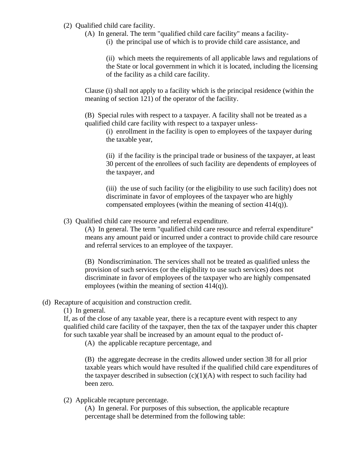- (2) Qualified child care facility.
	- (A) In general. The term "qualified child care facility" means a facility-
		- (i) the principal use of which is to provide child care assistance, and

(ii) which meets the requirements of all applicable laws and regulations of the State or local government in which it is located, including the licensing of the facility as a child care facility.

Clause (i) shall not apply to a facility which is the principal residence (within the meaning of section 121) of the operator of the facility.

(B) Special rules with respect to a taxpayer. A facility shall not be treated as a qualified child care facility with respect to a taxpayer unless-

(i) enrollment in the facility is open to employees of the taxpayer during the taxable year,

(ii) if the facility is the principal trade or business of the taxpayer, at least 30 percent of the enrollees of such facility are dependents of employees of the taxpayer, and

(iii) the use of such facility (or the eligibility to use such facility) does not discriminate in favor of employees of the taxpayer who are highly compensated employees (within the meaning of section 414(q)).

(3) Qualified child care resource and referral expenditure.

(A) In general. The term "qualified child care resource and referral expenditure" means any amount paid or incurred under a contract to provide child care resource and referral services to an employee of the taxpayer.

(B) Nondiscrimination. The services shall not be treated as qualified unless the provision of such services (or the eligibility to use such services) does not discriminate in favor of employees of the taxpayer who are highly compensated employees (within the meaning of section 414(q)).

## (d) Recapture of acquisition and construction credit.

(1) In general.

If, as of the close of any taxable year, there is a recapture event with respect to any qualified child care facility of the taxpayer, then the tax of the taxpayer under this chapter for such taxable year shall be increased by an amount equal to the product of-

(A) the applicable recapture percentage, and

(B) the aggregate decrease in the credits allowed under section 38 for all prior taxable years which would have resulted if the qualified child care expenditures of the taxpayer described in subsection  $(c)(1)(A)$  with respect to such facility had been zero.

(2) Applicable recapture percentage.

(A) In general. For purposes of this subsection, the applicable recapture percentage shall be determined from the following table: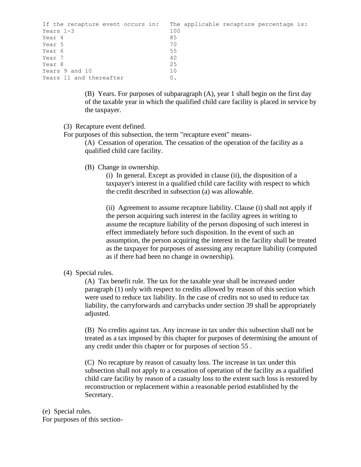| If the recapture event occurs in: | The applicable recapture percentage is: |
|-----------------------------------|-----------------------------------------|
| Years $1-3$                       | 100                                     |
| Year 4                            | 85                                      |
| Year 5                            | 70                                      |
| Year 6                            | 55                                      |
| Year 7                            | 40                                      |
| Year 8                            | 25                                      |
| Years 9 and 10                    | 10                                      |
| Years 11 and thereafter           |                                         |

(B) Years. For purposes of subparagraph (A), year 1 shall begin on the first day of the taxable year in which the qualified child care facility is placed in service by the taxpayer.

- (3) Recapture event defined.
- For purposes of this subsection, the term "recapture event" means-

(A) Cessation of operation. The cessation of the operation of the facility as a qualified child care facility.

(B) Change in ownership.

(i) In general. Except as provided in clause (ii), the disposition of a taxpayer's interest in a qualified child care facility with respect to which the credit described in subsection (a) was allowable.

(ii) Agreement to assume recapture liability. Clause (i) shall not apply if the person acquiring such interest in the facility agrees in writing to assume the recapture liability of the person disposing of such interest in effect immediately before such disposition. In the event of such an assumption, the person acquiring the interest in the facility shall be treated as the taxpayer for purposes of assessing any recapture liability (computed as if there had been no change in ownership).

(4) Special rules.

(A) Tax benefit rule. The tax for the taxable year shall be increased under paragraph (1) only with respect to credits allowed by reason of this section which were used to reduce tax liability. In the case of credits not so used to reduce tax liability, the carryforwards and carrybacks under section 39 shall be appropriately adjusted.

(B) No credits against tax. Any increase in tax under this subsection shall not be treated as a tax imposed by this chapter for purposes of determining the amount of any credit under this chapter or for purposes of section 55 .

(C) No recapture by reason of casualty loss. The increase in tax under this subsection shall not apply to a cessation of operation of the facility as a qualified child care facility by reason of a casualty loss to the extent such loss is restored by reconstruction or replacement within a reasonable period established by the Secretary.

## (e) Special rules.

For purposes of this section-